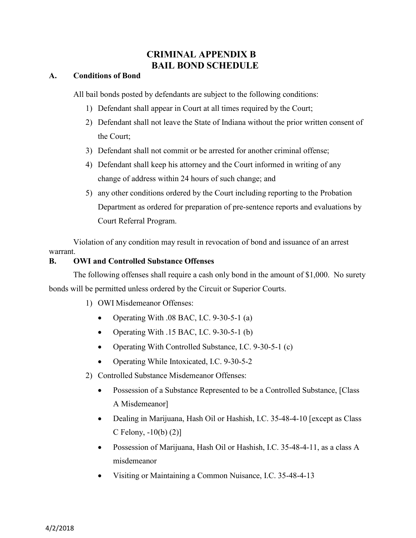# **CRIMINAL APPENDIX B BAIL BOND SCHEDULE**

## **A. Conditions of Bond**

All bail bonds posted by defendants are subject to the following conditions:

- 1) Defendant shall appear in Court at all times required by the Court;
- 2) Defendant shall not leave the State of Indiana without the prior written consent of the Court;
- 3) Defendant shall not commit or be arrested for another criminal offense;
- 4) Defendant shall keep his attorney and the Court informed in writing of any change of address within 24 hours of such change; and
- 5) any other conditions ordered by the Court including reporting to the Probation Department as ordered for preparation of pre-sentence reports and evaluations by Court Referral Program.

Violation of any condition may result in revocation of bond and issuance of an arrest warrant.

## **B. OWI and Controlled Substance Offenses**

The following offenses shall require a cash only bond in the amount of \$1,000. No surety bonds will be permitted unless ordered by the Circuit or Superior Courts.

- 1) OWI Misdemeanor Offenses:
	- Operating With .08 BAC, I.C.  $9-30-5-1$  (a)
	- Operating With .15 BAC, I.C.  $9-30-5-1$  (b)
	- Operating With Controlled Substance, I.C. 9-30-5-1 (c)
	- Operating While Intoxicated, I.C. 9-30-5-2
- 2) Controlled Substance Misdemeanor Offenses:
	- Possession of a Substance Represented to be a Controlled Substance, [Class] A Misdemeanor]
	- Dealing in Marijuana, Hash Oil or Hashish, I.C.  $35-48-4-10$  [except as Class C Felony, -10(b) (2)]
	- Possession of Marijuana, Hash Oil or Hashish, I.C. 35-48-4-11, as a class A misdemeanor
	- x Visiting or Maintaining a Common Nuisance, I.C. 35-48-4-13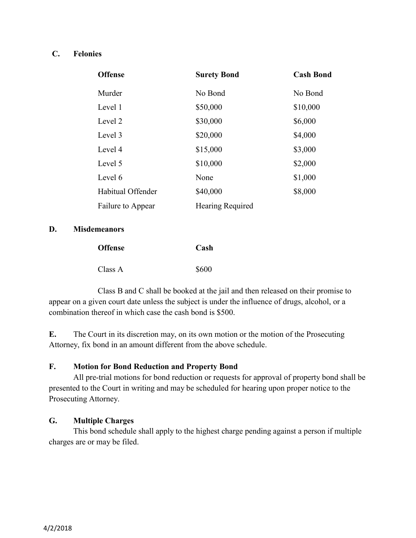## **C. Felonies**

| <b>Offense</b>    | <b>Surety Bond</b> | <b>Cash Bond</b> |
|-------------------|--------------------|------------------|
| Murder            | No Bond            | No Bond          |
| Level 1           | \$50,000           | \$10,000         |
| Level 2           | \$30,000           | \$6,000          |
| Level 3           | \$20,000           | \$4,000          |
| Level 4           | \$15,000           | \$3,000          |
| Level 5           | \$10,000           | \$2,000          |
| Level 6           | None               | \$1,000          |
| Habitual Offender | \$40,000           | \$8,000          |
| Failure to Appear | Hearing Required   |                  |

### **D. Misdemeanors**

| <b>Offense</b> | Cash  |
|----------------|-------|
| Class A        | \$600 |

Class B and C shall be booked at the jail and then released on their promise to appear on a given court date unless the subject is under the influence of drugs, alcohol, or a combination thereof in which case the cash bond is \$500.

**E.** The Court in its discretion may, on its own motion or the motion of the Prosecuting Attorney, fix bond in an amount different from the above schedule.

## **F. Motion for Bond Reduction and Property Bond**

All pre-trial motions for bond reduction or requests for approval of property bond shall be presented to the Court in writing and may be scheduled for hearing upon proper notice to the Prosecuting Attorney.

### **G. Multiple Charges**

This bond schedule shall apply to the highest charge pending against a person if multiple charges are or may be filed.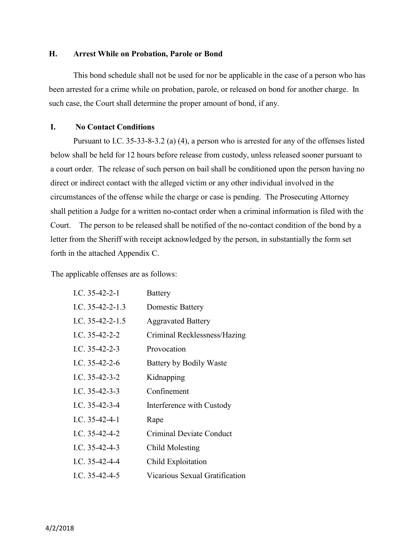#### **H. Arrest While on Probation, Parole or Bond**

This bond schedule shall not be used for nor be applicable in the case of a person who has been arrested for a crime while on probation, parole, or released on bond for another charge. In such case, the Court shall determine the proper amount of bond, if any.

### **I. No Contact Conditions**

Pursuant to I.C. 35-33-8-3.2 (a) (4), a person who is arrested for any of the offenses listed below shall be held for 12 hours before release from custody, unless released sooner pursuant to a court order. The release of such person on bail shall be conditioned upon the person having no direct or indirect contact with the alleged victim or any other individual involved in the circumstances of the offense while the charge or case is pending. The Prosecuting Attorney shall petition a Judge for a written no-contact order when a criminal information is filed with the Court. The person to be released shall be notified of the no-contact condition of the bond by a letter from the Sheriff with receipt acknowledged by the person, in substantially the form set forth in the attached Appendix C.

The applicable offenses are as follows:

| I.C. $35-42-2-1$   | <b>Battery</b>                 |
|--------------------|--------------------------------|
| I.C. $35-42-2-1.3$ | Domestic Battery               |
| I.C. $35-42-2-1.5$ | <b>Aggravated Battery</b>      |
| I.C. $35-42-2-2$   | Criminal Recklessness/Hazing   |
| I.C. $35-42-2-3$   | Provocation                    |
| I.C. $35-42-2-6$   | Battery by Bodily Waste        |
| I.C. $35-42-3-2$   | Kidnapping                     |
| I.C. $35-42-3-3$   | Confinement                    |
| I.C. $35-42-3-4$   | Interference with Custody      |
| I.C. $35-42-4-1$   | Rape                           |
| I.C. $35-42-4-2$   | Criminal Deviate Conduct       |
| I.C. $35-42-4-3$   | Child Molesting                |
| I.C. $35-42-4-4$   | Child Exploitation             |
| I.C. $35-42-4-5$   | Vicarious Sexual Gratification |